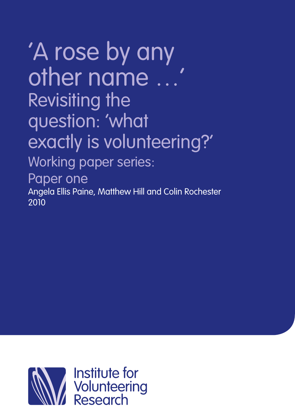# Working paper series: 'A rose by any other name …' Revisiting the question: 'what exactly is volunteering?'

Paper one

Angela Ellis Paine, Matthew Hill and Colin Rochester 2010

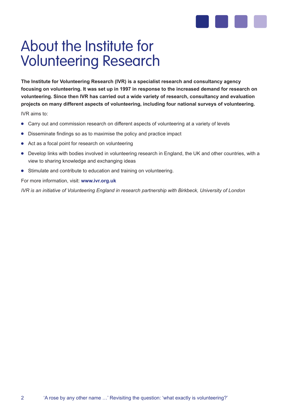

## About the Institute for Volunteering Research

**The Institute for Volunteering Research (IVR) is a specialist research and consultancy agency focusing on volunteering. It was set up in 1997 in response to the increased demand for research on volunteering. Since then IVR has carried out a wide variety of research, consultancy and evaluation projects on many different aspects of volunteering, including four national surveys of volunteering.**

IVR aims to:

- Carry out and commission research on different aspects of volunteering at a variety of levels
- Disseminate findings so as to maximise the policy and practice impact
- Act as a focal point for research on volunteering
- Develop links with bodies involved in volunteering research in England, the UK and other countries, with a view to sharing knowledge and exchanging ideas
- Stimulate and contribute to education and training on volunteering.

For more information, visit: **www.ivr.org.uk**

*IVR is an initiative of Volunteering England in research partnership with Birkbeck, University of London*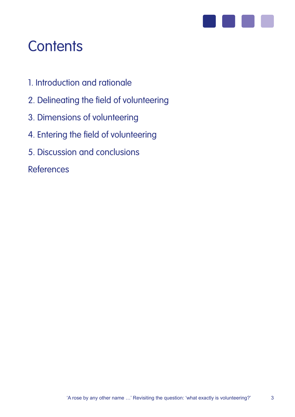

## **Contents**

- 1. Introduction and rationale
- 2. Delineating the field of volunteering
- 3. Dimensions of volunteering
- 4. Entering the field of volunteering
- 5. Discussion and conclusions

References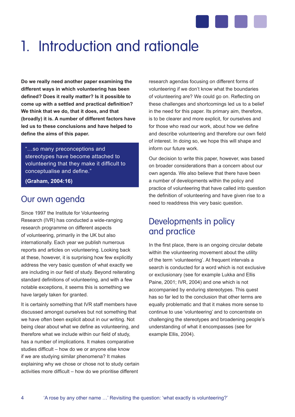

## 1. Introduction and rationale

**Do we really need another paper examining the different ways in which volunteering has been defined? Does it really matter? Is it possible to come up with a settled and practical definition? We think that we do, that it does, and that (broadly) it is. A number of different factors have led us to these conclusions and have helped to define the aims of this paper.**

"…so many preconceptions and stereotypes have become attached to volunteering that they make it difficult to conceptualise and define."

**(Graham, 2004:16)**

4

### Our own agenda

Since 1997 the Institute for Volunteering Research (IVR) has conducted a wide-ranging research programme on different aspects of volunteering, primarily in the UK but also internationally. Each year we publish numerous reports and articles on volunteering. Looking back at these, however, it is surprising how few explicitly address the very basic question of what exactly we are including in our field of study. Beyond reiterating standard definitions of volunteering, and with a few notable exceptions, it seems this is something we have largely taken for granted.

It is certainly something that IVR staff members have discussed amongst ourselves but not something that we have often been explicit about in our writing. Not being clear about what we define as volunteering, and therefore what we include within our field of study, has a number of implications. It makes comparative studies difficult – how do we or anyone else know if we are studying similar phenomena? It makes explaining why we chose or chose not to study certain activities more difficult – how do we prioritise different

research agendas focusing on different forms of volunteering if we don't know what the boundaries of volunteering are? We could go on. Reflecting on these challenges and shortcomings led us to a belief in the need for this paper. Its primary aim, therefore, is to be clearer and more explicit, for ourselves and for those who read our work, about how we define and describe volunteering and therefore our own field of interest. In doing so, we hope this will shape and inform our future work.

Our decision to write this paper, however, was based on broader considerations than a concern about our own agenda. We also believe that there have been a number of developments within the policy and practice of volunteering that have called into question the definition of volunteering and have given rise to a need to readdress this very basic question.

### Developments in policy and practice

In the first place, there is an ongoing circular debate within the volunteering movement about the utility of the term 'volunteering'. At frequent intervals a search is conducted for a word which is not exclusive or exclusionary (see for example Lukka and Ellis Paine, 2001; IVR, 2004) and one which is not accompanied by enduring stereotypes. This quest has so far led to the conclusion that other terms are equally problematic and that it makes more sense to continue to use 'volunteering' and to concentrate on challenging the stereotypes and broadening people's understanding of what it encompasses (see for example Ellis, 2004).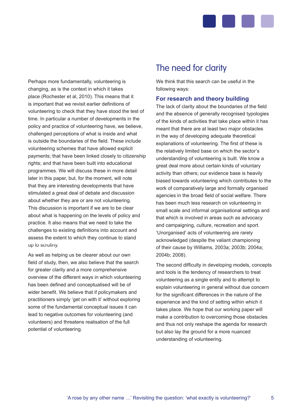

Perhaps more fundamentally, volunteering is changing, as is the context in which it takes place (Rochester et al, 2010). This means that it is important that we revisit earlier definitions of volunteering to check that they have stood the test of time. In particular a number of developments in the policy and practice of volunteering have, we believe, challenged perceptions of what is inside and what is outside the boundaries of the field. These include volunteering schemes that have allowed explicit payments; that have been linked closely to citizenship rights; and that have been built into educational programmes. We will discuss these in more detail later in this paper, but, for the moment, will note that they are interesting developments that have stimulated a great deal of debate and discussion about whether they are or are not volunteering. This discussion is important if we are to be clear about what is happening on the levels of policy and practice. It also means that we need to take the challenges to existing definitions into account and assess the extent to which they continue to stand up to scrutiny.

As well as helping us be clearer about our own field of study, then, we also believe that the search for greater clarity and a more comprehensive overview of the different ways in which volunteering has been defined and conceptualised will be of wider benefit. We believe that if policymakers and practitioners simply 'get on with it' without exploring some of the fundamental conceptual issues it can lead to negative outcomes for volunteering (and volunteers) and threatens realisation of the full potential of volunteering.

## The need for clarity

We think that this search can be useful in the following ways:

#### **For research and theory building**

The lack of clarity about the boundaries of the field and the absence of generally recognised typologies of the kinds of activities that take place within it has meant that there are at least two major obstacles in the way of developing adequate theoretical explanations of volunteering. The first of these is the relatively limited base on which the sector's understanding of volunteering is built. We know a great deal more about certain kinds of voluntary activity than others; our evidence base is heavily biased towards volunteering which contributes to the work of comparatively large and formally organised agencies in the broad field of social welfare. There has been much less research on volunteering in small scale and informal organisational settings and that which is involved in areas such as advocacy and campaigning, culture, recreation and sport. 'Unorganised' acts of volunteering are rarely acknowledged (despite the valiant championing of their cause by Williams, 2003a; 2003b; 2004a; 2004b; 2008).

The second difficulty in developing models, concepts and tools is the tendency of researchers to treat volunteering as a single entity and to attempt to explain volunteering in general without due concern for the significant differences in the nature of the experience and the kind of setting within which it takes place. We hope that our working paper will make a contribution to overcoming those obstacles and thus not only reshape the agenda for research but also lay the ground for a more nuanced understanding of volunteering.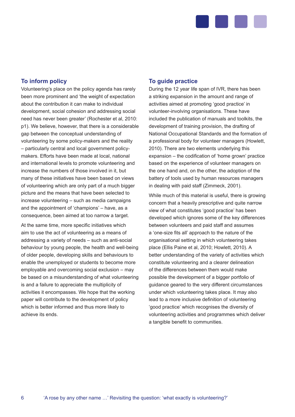

#### **To inform policy**

Volunteering's place on the policy agenda has rarely been more prominent and 'the weight of expectation about the contribution it can make to individual development, social cohesion and addressing social need has never been greater' (Rochester et al, 2010: p1). We believe, however, that there is a considerable gap between the conceptual understanding of volunteering by some policy-makers and the reality – particularly central and local government policymakers. Efforts have been made at local, national and international levels to promote volunteering and increase the numbers of those involved in it, but many of these initiatives have been based on views of volunteering which are only part of a much bigger picture and the means that have been selected to increase volunteering – such as media campaigns and the appointment of 'champions' – have, as a consequence, been aimed at too narrow a target.

At the same time, more specific initiatives which aim to use the act of volunteering as a means of addressing a variety of needs – such as anti-social behaviour by young people, the health and well-being of older people, developing skills and behaviours to enable the unemployed or students to become more employable and overcoming social exclusion – may be based on a misunderstanding of what volunteering is and a failure to appreciate the multiplicity of activities it encompasses. We hope that the working paper will contribute to the development of policy which is better informed and thus more likely to achieve its ends.

#### **To guide practice**

During the 12 year life span of IVR, there has been a striking expansion in the amount and range of activities aimed at promoting 'good practice' in volunteer-involving organisations. These have included the publication of manuals and toolkits, the development of training provision, the drafting of National Occupational Standards and the formation of a professional body for volunteer managers (Howlett, 2010). There are two elements underlying this expansion – the codification of 'home grown' practice based on the experience of volunteer managers on the one hand and, on the other, the adoption of the battery of tools used by human resources managers in dealing with paid staff (Zimmeck, 2001).

While much of this material is useful, there is growing concern that a heavily prescriptive and quite narrow view of what constitutes 'good practice' has been developed which ignores some of the key differences between volunteers and paid staff and assumes a 'one-size fits all' approach to the nature of the organisational setting in which volunteering takes place (Ellis Paine et al, 2010; Howlett, 2010). A better understanding of the variety of activities which constitute volunteering and a clearer delineation of the differences between them would make possible the development of a bigger portfolio of guidance geared to the very different circumstances under which volunteering takes place. It may also lead to a more inclusive definition of volunteering 'good practice' which recognises the diversity of volunteering activities and programmes which deliver a tangible benefit to communities.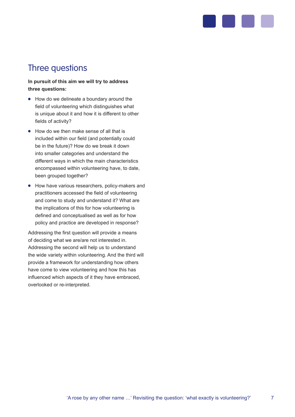

## Three questions

#### **In pursuit of this aim we will try to address three questions:**

- How do we delineate a boundary around the field of volunteering which distinguishes what is unique about it and how it is different to other fields of activity?
- How do we then make sense of all that is included within our field (and potentially could be in the future)? How do we break it down into smaller categories and understand the different ways in which the main characteristics encompassed within volunteering have, to date, been grouped together?
- How have various researchers, policy-makers and practitioners accessed the field of volunteering and come to study and understand it? What are the implications of this for how volunteering is defined and conceptualised as well as for how policy and practice are developed in response?

Addressing the first question will provide a means of deciding what we are/are not interested in. Addressing the second will help us to understand the wide variety within volunteering. And the third will provide a framework for understanding how others have come to view volunteering and how this has influenced which aspects of it they have embraced, overlooked or re-interpreted.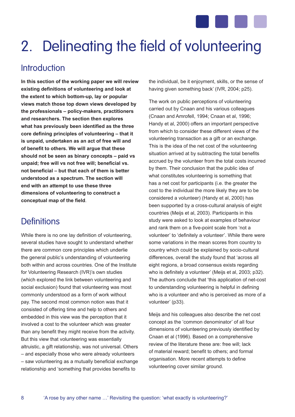

## 2. Delineating the field of volunteering

## **Introduction**

**In this section of the working paper we will review existing definitions of volunteering and look at the extent to which bottom-up, lay or popular views match those top down views developed by the professionals – policy-makers, practitioners and researchers. The section then explores what has previously been identified as the three core defining principles of volunteering – that it is unpaid, undertaken as an act of free will and of benefit to others. We will argue that these should not be seen as binary concepts – paid vs unpaid; free will vs not free will; beneficial vs. not beneficial – but that each of them is better understood as a spectrum. The section will end with an attempt to use these three dimensions of volunteering to construct a conceptual map of the field**.

## **Definitions**

While there is no one lay definition of volunteering, several studies have sought to understand whether there are common core principles which underlie the general public's understanding of volunteering both within and across countries. One of the Institute for Volunteering Research (IVR)'s own studies (which explored the link between volunteering and social exclusion) found that volunteering was most commonly understood as a form of work without pay. The second most common notion was that it consisted of offering time and help to others and embedded in this view was the perception that it involved a cost to the volunteer which was greater than any benefit they might receive from the activity. But this view that volunteering was essentially altruistic, a gift relationship, was not universal. Others – and especially those who were already volunteers – saw volunteering as a mutually beneficial exchange relationship and 'something that provides benefits to

the individual, be it enjoyment, skills, or the sense of having given something back' (IVR, 2004; p25).

The work on public perceptions of volunteering carried out by Cnaan and his various colleagues (Cnaan and Amrofell, 1994; Cnaan et al, 1996; Handy et al, 2000) offers an important perspective from which to consider these different views of the volunteering transaction as a gift or an exchange. This is the idea of the net cost of the volunteering situation arrived at by subtracting the total benefits accrued by the volunteer from the total costs incurred by them. Their conclusion that the public idea of what constitutes volunteering is something that has a net cost for participants (i.e. the greater the cost to the individual the more likely they are to be considered a volunteer) (Handy et al, 2000) has been supported by a cross-cultural analysis of eight countries (Meijs et al, 2003). Participants in this study were asked to look at examples of behaviour and rank them on a five-point scale from 'not a volunteer' to 'definitely a volunteer'. While there were some variations in the mean scores from country to country which could be explained by socio-cultural differences, overall the study found that 'across all eight regions, a broad consensus exists regarding who is definitely a volunteer' (Meijs et al, 2003; p32). The authors conclude that 'this application of net-cost to understanding volunteering is helpful in defining who is a volunteer and who is perceived as more of a volunteer' (p33).

Meijs and his colleagues also describe the net cost concept as the 'common denominator' of all four dimensions of volunteering previously identified by Cnaan et al (1996). Based on a comprehensive review of the literature these are: free will; lack of material reward; benefit to others; and formal organisation. More recent attempts to define volunteering cover similar ground.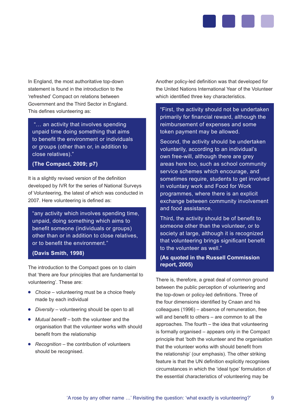

In England, the most authoritative top-down statement is found in the introduction to the 'refreshed' Compact on relations between Government and the Third Sector in England. This defines volunteering as:

 "… an activity that involves spending unpaid time doing something that aims to benefit the environment or individuals or groups (other than or, in addition to close relatives)."

#### **(The Compact, 2009; p7)**

It is a slightly revised version of the definition developed by IVR for the series of National Surveys of Volunteering, the latest of which was conducted in 2007. Here volunteering is defined as:

"any activity which involves spending time, unpaid, doing something which aims to benefit someone (individuals or groups) other than or in addition to close relatives, or to benefit the environment."

#### **(Davis Smith, 1998)**

The introduction to the Compact goes on to claim that 'there are four principles that are fundamental to volunteering'. These are:

- *Choice* volunteering must be a choice freely made by each individual
- *Diversity* volunteering should be open to all
- *Mutual benefit* both the volunteer and the organisation that the volunteer works with should benefit from the relationship
- *Recognition* the contribution of volunteers should be recognised.

Another policy-led definition was that developed for the United Nations International Year of the Volunteer which identified three key characteristics.

"First, the activity should not be undertaken primarily for financial reward, although the reimbursement of expenses and some token payment may be allowed.

Second, the activity should be undertaken voluntarily, according to an individual's own free-will, although there are grey areas here too, such as school community service schemes which encourage, and sometimes require, students to get involved in voluntary work and Food for Work programmes, where there is an explicit exchange between community involvement and food assistance.

Third, the activity should be of benefit to someone other than the volunteer, or to society at large, although it is recognized that volunteering brings significant benefit to the volunteer as well."

#### **(As quoted in the Russell Commission report, 2005)**

There is, therefore, a great deal of common ground between the public perception of volunteering and the top-down or policy-led definitions. Three of the four dimensions identified by Cnaan and his colleagues (1996) – absence of remuneration, free will and benefit to others – are common to all the approaches. The fourth – the idea that volunteering is formally organised – appears only in the Compact principle that 'both the volunteer and the organisation that the volunteer works with should benefit from the relationship' (our emphasis). The other striking feature is that the UN definition explicitly recognises circumstances in which the 'ideal type' formulation of the essential characteristics of volunteering may be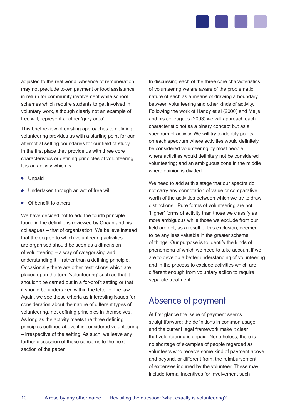

adjusted to the real world. Absence of remuneration may not preclude token payment or food assistance in return for community involvement while school schemes which require students to get involved in voluntary work, although clearly not an example of free will, represent another 'grey area'.

This brief review of existing approaches to defining volunteering provides us with a starting point for our attempt at setting boundaries for our field of study. In the first place they provide us with three core characteristics or defining principles of volunteering. It is an activity which is:

- **•** Unpaid
- Undertaken through an act of free will
- Of benefit to others.

We have decided not to add the fourth principle found in the definitions reviewed by Cnaan and his colleagues – that of organisation. We believe instead that the degree to which volunteering activities are organised should be seen as a dimension of volunteering – a way of categorising and understanding it – rather than a defining principle. Occasionally there are other restrictions which are placed upon the term 'volunteering' such as that it shouldn't be carried out in a for-profit setting or that it should be undertaken within the letter of the law. Again, we see these criteria as interesting issues for consideration about the nature of different types of volunteering, not defining principles in themselves. As long as the activity meets the three defining principles outlined above it is considered volunteering – irrespective of the setting. As such, we leave any further discussion of these concerns to the next section of the paper.

In discussing each of the three core characteristics of volunteering we are aware of the problematic nature of each as a means of drawing a boundary between volunteering and other kinds of activity. Following the work of Handy et al (2000) and Meijs and his colleagues (2003) we will approach each characteristic not as a binary concept but as a spectrum of activity. We will try to identify points on each spectrum where activities would definitely be considered volunteering by most people; where activities would definitely not be considered volunteering; and an ambiguous zone in the middle where opinion is divided.

We need to add at this stage that our spectra do not carry any connotation of value or comparative worth of the activities between which we try to draw distinctions. Pure forms of volunteering are not 'higher' forms of activity than those we classify as more ambiguous while those we exclude from our field are not, as a result of this exclusion, deemed to be any less valuable in the greater scheme of things. Our purpose is to identify the kinds of phenomena of which we need to take account if we are to develop a better understanding of volunteering and in the process to exclude activities which are different enough from voluntary action to require separate treatment.

## Absence of payment

At first glance the issue of payment seems straightforward; the definitions in common usage and the current legal framework make it clear that volunteering is unpaid. Nonetheless, there is no shortage of examples of people regarded as volunteers who receive some kind of payment above and beyond, or different from, the reimbursement of expenses incurred by the volunteer. These may include formal incentives for involvement such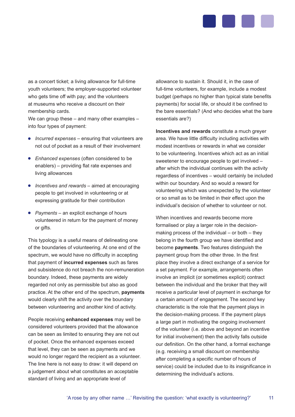

as a concert ticket; a living allowance for full-time youth volunteers; the employer-supported volunteer who gets time off with pay; and the volunteers at museums who receive a discount on their membership cards.

We can group these – and many other examples – into four types of payment:

- *Incurred expenses* ensuring that volunteers are not out of pocket as a result of their involvement
- *Enhanced expenses* (often considered to be enablers) – providing flat rate expenses and living allowances
- *Incentives and rewards*  aimed at encouraging people to get involved in volunteering or at expressing gratitude for their contribution
- *Payments* an explicit exchange of hours volunteered in return for the payment of money or gifts.

This typology is a useful means of delineating one of the boundaries of volunteering. At one end of the spectrum, we would have no difficulty in accepting that payment of **incurred expenses** such as fares and subsistence do not breach the non-remuneration boundary. Indeed, these payments are widely regarded not only as permissible but also as good practice. At the other end of the spectrum, **payments** would clearly shift the activity over the boundary between volunteering and another kind of activity.

People receiving **enhanced expenses** may well be considered volunteers provided that the allowance can be seen as limited to ensuring they are not out of pocket. Once the enhanced expenses exceed that level, they can be seen as payments and we would no longer regard the recipient as a volunteer. The line here is not easy to draw: it will depend on a judgement about what constitutes an acceptable standard of living and an appropriate level of

allowance to sustain it. Should it, in the case of full-time volunteers, for example, include a modest budget (perhaps no higher than typical state benefits payments) for social life, or should it be confined to the bare essentials? (And who decides what the bare essentials are?)

**Incentives and rewards** constitute a much greyer area. We have little difficulty including activities with modest incentives or rewards in what we consider to be volunteering. Incentives which act as an initial sweetener to encourage people to get involved – after which the individual continues with the activity regardless of incentives – would certainly be included within our boundary. And so would a reward for volunteering which was unexpected by the volunteer or so small as to be limited in their effect upon the individual's decision of whether to volunteer or not.

When incentives and rewards become more formalised or play a larger role in the decisionmaking process of the individual – or both – they belong in the fourth group we have identified and become **payments**. Two features distinguish the payment group from the other three. In the first place they involve a direct exchange of a service for a set payment. For example, arrangements often involve an implicit (or sometimes explicit) contract between the individual and the broker that they will receive a particular level of payment in exchange for a certain amount of engagement. The second key characteristic is the role that the payment plays in the decision-making process. If the payment plays a large part in motivating the ongoing involvement of the volunteer (i.e. above and beyond an incentive for initial involvement) then the activity falls outside our definition. On the other hand, a formal exchange (e.g. receiving a small discount on membership after completing a specific number of hours of service) could be included due to its insignificance in determining the individual's actions.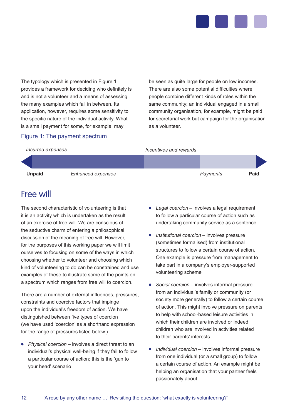

The typology which is presented in Figure 1 provides a framework for deciding who definitely is and is not a volunteer and a means of assessing the many examples which fall in between. Its application, however, requires some sensitivity to the specific nature of the individual activity. What is a small payment for some, for example, may

#### be seen as quite large for people on low incomes. There are also some potential difficulties where people combine different kinds of roles within the same community; an individual engaged in a small community organisation, for example, might be paid for secretarial work but campaign for the organisation as a volunteer.

#### Figure 1: The payment spectrum

#### *Incentives and rewards*



## Free will

*Incurred expenses*

The second characteristic of volunteering is that it is an activity which is undertaken as the result of an exercise of free will. We are conscious of the seductive charm of entering a philosophical discussion of the meaning of free will. However, for the purposes of this working paper we will limit ourselves to focusing on some of the ways in which choosing whether to volunteer and choosing which kind of volunteering to do can be constrained and use examples of these to illustrate some of the points on a spectrum which ranges from free will to coercion.

There are a number of external influences, pressures, constraints and coercive factors that impinge upon the individual's freedom of action. We have distinguished between five types of coercion (we have used 'coercion' as a shorthand expression for the range of pressures listed below.)

*Physical coercion* – involves a direct threat to an individual's physical well-being if they fail to follow a particular course of action; this is the 'gun to your head' scenario

- *Legal coercion* involves a legal requirement to follow a particular course of action such as undertaking community service as a sentence
- **•** Institutional coercion involves pressure (sometimes formalised) from institutional structures to follow a certain course of action. One example is pressure from management to take part in a company's employer-supported volunteering scheme
- *Social coercion* involves informal pressure from an individual's family or community (or society more generally) to follow a certain course of action. This might involve pressure on parents to help with school-based leisure activities in which their children are involved or indeed children who are involved in activities related to their parents' interests
- *Individual coercion* involves informal pressure from one individual (or a small group) to follow a certain course of action. An example might be helping an organisation that your partner feels passionately about.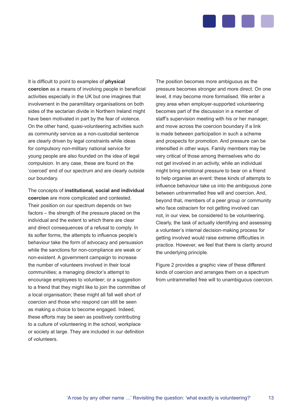

It is difficult to point to examples of **physical coercion** as a means of involving people in beneficial activities especially in the UK but one imagines that involvement in the paramilitary organisations on both sides of the sectarian divide in Northern Ireland might have been motivated in part by the fear of violence. On the other hand, quasi-volunteering activities such as community service as a non-custodial sentence are clearly driven by legal constraints while ideas for compulsory non-military national service for young people are also founded on the idea of legal compulsion. In any case, these are found on the 'coerced' end of our spectrum and are clearly outside our boundary.

The concepts of **institutional, social and individual coercion** are more complicated and contested. Their position on our spectrum depends on two factors – the strength of the pressure placed on the individual and the extent to which there are clear and direct consequences of a refusal to comply. In its softer forms, the attempts to influence people's behaviour take the form of advocacy and persuasion while the sanctions for non-compliance are weak or non-existent. A government campaign to increase the number of volunteers involved in their local communities; a managing director's attempt to encourage employees to volunteer; or a suggestion to a friend that they might like to join the committee of a local organisation; these might all fall well short of coercion and those who respond can still be seen as making a choice to become engaged. Indeed, these efforts may be seen as positively contributing to a culture of volunteering in the school, workplace or society at large. They are included in our definition of volunteers.

The position becomes more ambiguous as the pressure becomes stronger and more direct. On one level, it may become more formalised. We enter a grey area when employer-supported volunteering becomes part of the discussion in a member of staff's supervision meeting with his or her manager, and move across the coercion boundary if a link is made between participation in such a scheme and prospects for promotion. And pressure can be intensified in other ways. Family members may be very critical of those among themselves who do not get involved in an activity, while an individual might bring emotional pressure to bear on a friend to help organise an event: these kinds of attempts to influence behaviour take us into the ambiguous zone between untrammelled free will and coercion. And, beyond that, members of a peer group or community who face ostracism for not getting involved can not, in our view, be considered to be volunteering. Clearly, the task of actually identifying and assessing a volunteer's internal decision-making process for getting involved would raise extreme difficulties in practice. However, we feel that there is clarity around the underlying principle.

Figure 2 provides a graphic view of these different kinds of coercion and arranges them on a spectrum from untrammelled free will to unambiguous coercion.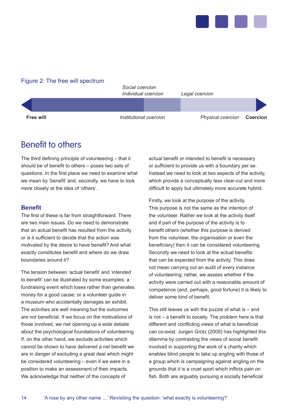

#### Figure 2: The free will spectrum



## Benefit to others

The third defining principle of volunteering – that it should be of benefit to others – poses two sets of questions. In the first place we need to examine what we mean by 'benefit' and, secondly, we have to look more closely at the idea of 'others'.

#### **Benefit**

The first of these is far from straightforward. There are two main issues. Do we need to demonstrate that an actual benefit has resulted from the activity or is it sufficient to decide that the action was motivated by the desire to have benefit? And what exactly constitutes benefit and where do we draw boundaries around it?

The tension between 'actual benefit' and 'intended to benefit' can be illustrated by some examples: a fundraising event which loses rather than generates money for a good cause; or a volunteer guide in a museum who accidentally damages an exhibit. The activities are well meaning but the outcomes are not beneficial. If we focus on the motivations of those involved, we risk opening up a wide debate about the psychological foundations of volunteering. If, on the other hand, we exclude activities which cannot be shown to have delivered a net benefit we are in danger of excluding a great deal which might be considered volunteering – even if we were in a position to make an assessment of their impacts. We acknowledge that neither of the concepts of

actual benefit or intended to benefit is necessary or sufficient to provide us with a boundary per se. Instead we need to look at two aspects of the activity, which provide a conceptually less clear-cut and more difficult to apply but ultimately more accurate hybrid.

Firstly, we look at the purpose of the activity. This purpose is not the same as the intention of the volunteer. Rather we look at the activity itself and if part of the purpose of the activity is to benefit others (whether this purpose is derived from the volunteer, the organisation or even the beneficiary) then it can be considered volunteering. Secondly we need to look at the actual benefits that can be expected from the activity. This does not mean carrying out an audit of every instance of volunteering; rather, we assess whether if the activity were carried out with a reasonable amount of competence (and, perhaps, good fortune) it is likely to deliver some kind of benefit.

This still leaves us with the puzzle of what is – and is not – a benefit to society. The problem here is that different and conflicting views of what is beneficial can co-exist. Jurgen Grotz (2009) has highlighted this dilemma by contrasting the views of social benefit involved in supporting the work of a charity which enables blind people to take up angling with those of a group which is campaigning against angling on the grounds that it is a cruel sport which inflicts pain on fish. Both are arguably pursuing a socially beneficial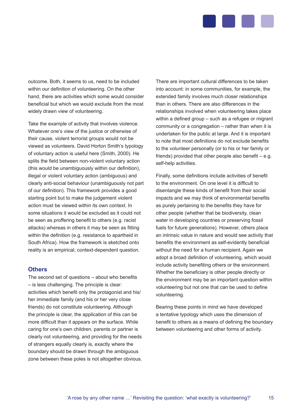

outcome. Both, it seems to us, need to be included within our definition of volunteering. On the other hand, there are activities which some would consider beneficial but which we would exclude from the most widely drawn view of volunteering.

Take the example of activity that involves violence. Whatever one's view of the justice or otherwise of their cause, violent terrorist groups would not be viewed as volunteers. David Horton Smith's typology of voluntary action is useful here (Smith, 2000). He splits the field between non-violent voluntary action (this would be unambiguously within our definition), illegal or violent voluntary action (ambiguous) and clearly anti-social behaviour (unambiguously not part of our definition). This framework provides a good starting point but to make the judgement violent action must be viewed within its own context. In some situations it would be excluded as it could not be seen as proffering benefit to others (e.g. racist attacks) whereas in others it may be seen as fitting within the definition (e.g. resistance to apartheid in South Africa). How the framework is sketched onto reality is an empirical, context-dependent question.

#### **Others**

The second set of questions – about who benefits – is less challenging. The principle is clear: activities which benefit only the protagonist and his/ her immediate family (and his or her very close friends) do not constitute volunteering. Although the principle is clear, the application of this can be more difficult than it appears on the surface. While caring for one's own children, parents or partner is clearly not volunteering, and providing for the needs of strangers equally clearly is, exactly where the boundary should be drawn through the ambiguous zone between these poles is not altogether obvious. There are important cultural differences to be taken into account: in some communities, for example, the extended family involves much closer relationships than in others. There are also differences in the relationships involved when volunteering takes place within a defined group – such as a refugee or migrant community or a congregation – rather than when it is undertaken for the public at large. And it is important to note that most definitions do not exclude benefits to the volunteer personally (or to his or her family or friends) provided that other people also benefit – e.g. self-help activities.

Finally, some definitions include activities of benefit to the environment. On one level it is difficult to disentangle these kinds of benefit from their social impacts and we may think of environmental benefits as purely pertaining to the benefits they have for other people (whether that be biodiversity, clean water in developing countries or preserving fossil fuels for future generations). However, others place an intrinsic value in nature and would see activity that benefits the environment as self-evidently beneficial without the need for a human recipient. Again we adopt a broad definition of volunteering, which would include activity benefiting others or the environment. Whether the beneficiary is other people directly or the environment may be an important question within volunteering but not one that can be used to define volunteering.

Bearing these points in mind we have developed a tentative typology which uses the dimension of benefit to others as a means of defining the boundary between volunteering and other forms of activity.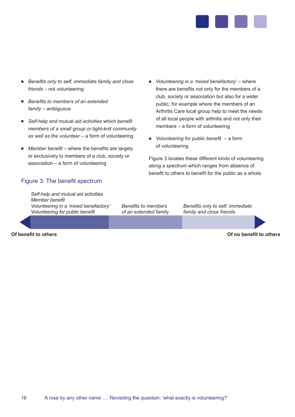

- *Benefits only to self, immediate family and close friends* – not volunteering
- *Benefits to members of an extended family* – ambiguous
- *Self-help and mutual aid activities which benefit members of a small group or tight-knit community as well as the volunteer* – a form of volunteering
- *Member benefit* where the benefits are largely or exclusively to members of a club, society or association – a form of volunteering

#### Figure 3: The benefit spectrum

*Self-help and mutual aid activities Member benefit Volunteering in a 'mixed benefactory' Volunteering for public benefit* 

*Benefits to members of an extended family*

- *Volunteering in a 'mixed benefactory'* where there are benefits not only for the members of a club, society or association but also for a wider public, for example where the members of an Arthritis Care local group help to meet the needs of all local people with arthritis and not only their members – a form of volunteering
- *Volunteering for public benefit* a form of volunteering

Figure 3 locates these different kinds of volunteering along a spectrum which ranges from absence of benefit to others to benefit for the public as a whole.

> *Benefits only to self, immediate family and close friends*

**Of benefit to others Of no benefit to others**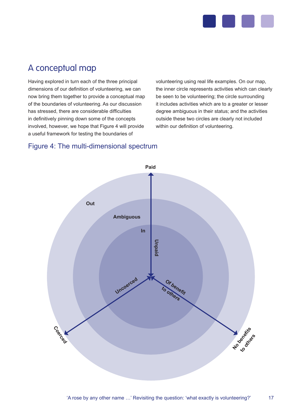

## A conceptual map

Having explored in turn each of the three principal dimensions of our definition of volunteering, we can now bring them together to provide a conceptual map of the boundaries of volunteering. As our discussion has stressed, there are considerable difficulties in definitively pinning down some of the concepts involved, however, we hope that Figure 4 will provide a useful framework for testing the boundaries of

volunteering using real life examples. On our map, the inner circle represents activities which can clearly be seen to be volunteering; the circle surrounding it includes activities which are to a greater or lesser degree ambiguous in their status; and the activities outside these two circles are clearly not included within our definition of volunteering.

### Figure 4: The multi-dimensional spectrum



17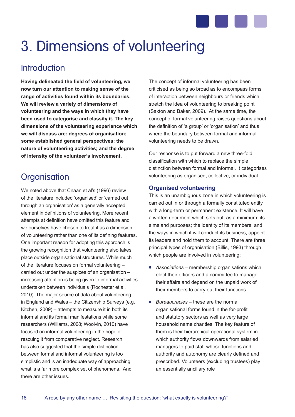

## 3. Dimensions of volunteering

## **Introduction**

**Having delineated the field of volunteering, we now turn our attention to making sense of the range of activities found within its boundaries. We will review a variety of dimensions of volunteering and the ways in which they have been used to categorise and classify it. The key dimensions of the volunteering experience which we will discuss are: degrees of organisation; some established general perspectives; the nature of volunteering activities; and the degree of intensity of the volunteer's involvement.**

## **Organisation**

We noted above that Cnaan et al's (1996) review of the literature included 'organised' or 'carried out through an organisation' as a generally accepted element in definitions of volunteering. More recent attempts at definition have omitted this feature and we ourselves have chosen to treat it as a dimension of volunteering rather than one of its defining features. One important reason for adopting this approach is the growing recognition that volunteering also takes place outside organisational structures. While much of the literature focuses on formal volunteering – carried out under the auspices of an organisation – increasing attention is being given to informal activities undertaken between individuals (Rochester et al, 2010). The major source of data about volunteering in England and Wales – the Citizenship Surveys (e.g. Kitchen, 2009) – attempts to measure it in both its informal and its formal manifestations while some researchers (Williams, 2008; Woolvin, 2010) have focused on informal volunteering in the hope of rescuing it from comparative neglect. Research has also suggested that the simple distinction between formal and informal volunteering is too simplistic and is an inadequate way of approaching what is a far more complex set of phenomena. And there are other issues.

The concept of informal volunteering has been criticised as being so broad as to encompass forms of interaction between neighbours or friends which stretch the idea of volunteering to breaking point (Saxton and Baker, 2009). At the same time, the concept of formal volunteering raises questions about the definition of 'a group' or 'organisation' and thus where the boundary between formal and informal volunteering needs to be drawn.

Our response is to put forward a new three-fold classification with which to replace the simple distinction between formal and informal. It categorises volunteering as organised, collective, or individual.

#### **Organised volunteering**

This is an unambiguous zone in which volunteering is carried out in or through a formally constituted entity with a long-term or permanent existence. It will have a written document which sets out, as a minimum: its aims and purposes; the identity of its members; and the ways in which it will conduct its business, appoint its leaders and hold them to account. There are three principal types of organisation (Billis, 1993) through which people are involved in volunteering:

- *Associations* membership organisations which elect their officers and a committee to manage their affairs and depend on the unpaid work of their members to carry out their functions
- *Bureaucracies* these are the normal organisational forms found in the for-profit and statutory sectors as well as very large household name charities. The key feature of them is their hierarchical operational system in which authority flows downwards from salaried managers to paid staff whose functions and authority and autonomy are clearly defined and prescribed. Volunteers (excluding trustees) play an essentially ancillary role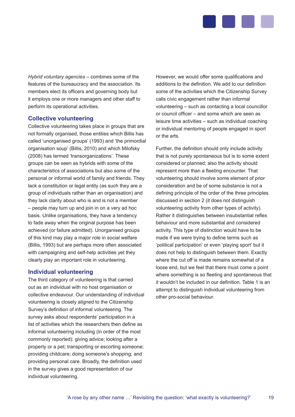

*Hybrid voluntary agencies* – combines some of the features of the bureaucracy and the association. Its members elect its officers and governing body but it employs one or more managers and other staff to perform its operational activities.

#### **Collective volunteering**

Collective volunteering takes place in groups that are not formally organised, those entities which Billis has called 'unorganised groups' (1993) and 'the primordial organisation soup' (Billis, 2010) and which Milofsky (2008) has termed 'transorganizations'. These groups can be seen as hybrids with some of the characteristics of associations but also some of the personal or informal world of family and friends. They lack a constitution or legal entity (as such they are a group of individuals rather than an organisation) and they lack clarity about who is and is not a member – people may turn up and join in on a very ad hoc basis. Unlike organisations, they have a tendency to fade away when the original purpose has been achieved (or failure admitted). Unorganised groups of this kind may play a major role in social welfare (Billis, 1993) but are perhaps more often associated with campaigning and self-help activities yet they clearly play an important role in volunteering.

#### **Individual volunteering**

The third category of volunteering is that carried out as an individual with no host organisation or collective endeavour. Our understanding of individual volunteering is closely aligned to the Citizenship Survey's definition of informal volunteering. The survey asks about respondents' participation in a list of activities which the researchers then define as informal volunteering including (in order of the most commonly reported): giving advice; looking after a property or a pet; transporting or escorting someone; providing childcare; doing someone's shopping; and providing personal care. Broadly, the definition used in the survey gives a good representation of our individual volunteering.

However, we would offer some qualifications and additions to the definition. We add to our definition some of the activities which the Citizenship Survey calls civic engagement rather than informal volunteering – such as contacting a local councillor or council officer – and some which are seen as leisure time activities – such as individual coaching or individual mentoring of people engaged in sport or the arts.

Further, the definition should only include activity that is not purely spontaneous but is to some extent considered or planned; also the activity should represent more than a fleeting encounter. That volunteering should involve some element of prior consideration and be of some substance is not a defining principle of the order of the three principles discussed in section 2 (it does not distinguish volunteering activity from other types of activity). Rather it distinguishes between insubstantial reflex behaviour and more substantial and considered activity. This type of distinction would have to be made if we were trying to define terms such as 'political participation' or even 'playing sport' but it does not help to distinguish between them. Exactly where the cut off is made remains somewhat of a loose end, but we feel that there must come a point where something is so fleeting and spontaneous that it wouldn't be included in our definition. Table 1 is an attempt to distinguish individual volunteering from other pro-social behaviour.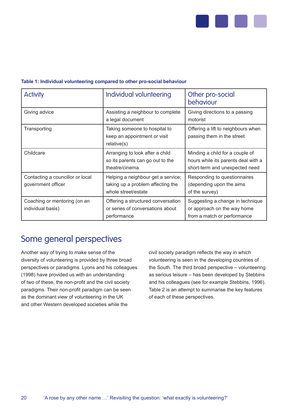

#### **Table 1: Individual volunteering compared to other pro-social behaviour**

| <b>Activity</b>                                        | Individual volunteering                                                                        | Other pro-social<br>behaviour                                                                            |
|--------------------------------------------------------|------------------------------------------------------------------------------------------------|----------------------------------------------------------------------------------------------------------|
| Giving advice                                          | Assisting a neighbour to complete<br>a legal document                                          | Giving directions to a passing<br>motorist                                                               |
| Transporting                                           | Taking someone to hospital to<br>keep an appointment or visit<br>relative(s)                   | Offering a lift to neighbours when<br>passing them in the street                                         |
| Childcare                                              | Arranging to look after a child<br>so its parents can go out to the<br>theatre/cinema          | Minding a child for a couple of<br>hours while its parents deal with a<br>short-term and unexpected need |
| Contacting a councillor or local<br>government officer | Helping a neighbour get a service;<br>taking up a problem affecting the<br>whole street/estate | Responding to questionnaires<br>(depending upon the aims<br>of the survey)                               |
| Coaching or mentoring (on an<br>individual basis)      | Offering a structured conversation<br>or series of conversations about<br>performance          | Suggesting a change in technique<br>or approach on the way home<br>from a match or performance           |

### Some general perspectives

Another way of trying to make sense of the diversity of volunteering is provided by three broad perspectives or paradigms. Lyons and his colleagues (1998) have provided us with an understanding of two of these, the non-profit and the civil society paradigms. Their non-profit paradigm can be seen as the dominant view of volunteering in the UK and other Western developed societies while the

civil society paradigm reflects the way in which volunteering is seen in the developing countries of the South. The third broad perspective – volunteering as serious leisure – has been developed by Stebbins and his colleagues (see for example Stebbins, 1996). Table 2 is an attempt to summarise the key features of each of these perspectives.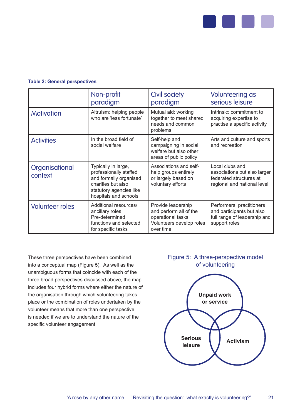

#### **Table 2: General perspectives**

|                           | Non-profit<br>paradigm                                                                                                                            | <b>Civil society</b><br>paradigm                                                                           | Volunteering as<br>serious leisure                                                                        |  |
|---------------------------|---------------------------------------------------------------------------------------------------------------------------------------------------|------------------------------------------------------------------------------------------------------------|-----------------------------------------------------------------------------------------------------------|--|
| <b>Motivation</b>         | Altruism: helping people<br>who are 'less fortunate'                                                                                              | Mutual aid: working<br>together to meet shared<br>needs and common<br>problems                             | Intrinsic: commitment to<br>acquiring expertise to<br>practise a specific activity                        |  |
| <b>Activities</b>         | In the broad field of<br>social welfare                                                                                                           | Self-help and<br>campaigning in social<br>welfare but also other<br>areas of public policy                 | Arts and culture and sports<br>and recreation                                                             |  |
| Organisational<br>context | Typically in large,<br>professionally staffed<br>and formally organised<br>charities but also<br>statutory agencies like<br>hospitals and schools | Associations and self-<br>help groups entirely<br>or largely based on<br>voluntary efforts                 | Local clubs and<br>associations but also larger<br>federated structures at<br>regional and national level |  |
| <b>Volunteer roles</b>    | Additional resources/<br>ancillary roles<br>Pre-determined<br>functions and selected<br>for specific tasks                                        | Provide leadership<br>and perform all of the<br>operational tasks<br>Volunteers develop roles<br>over time | Performers, practitioners<br>and participants but also<br>full range of leadership and<br>support roles   |  |

These three perspectives have been combined into a conceptual map (Figure 5). As well as the unambiguous forms that coincide with each of the three broad perspectives discussed above, the map includes four hybrid forms where either the nature of the organisation through which volunteering takes place or the combination of roles undertaken by the volunteer means that more than one perspective is needed if we are to understand the nature of the specific volunteer engagement.

#### Figure 5: A three-perspective model of volunteering

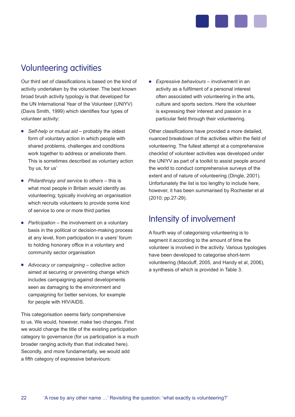

## Volunteering activities

Our third set of classifications is based on the kind of activity undertaken by the volunteer. The best known broad brush activity typology is that developed for the UN International Year of the Volunteer (UNIYV) (Davis Smith, 1999) which identifies four types of volunteer activity:

- *Self-help or mutual aid* probably the oldest form of voluntary action in which people with shared problems, challenges and conditions work together to address or ameliorate them. This is sometimes described as voluntary action 'by us, for us'
- *Philanthropy and service to others* this is what most people in Britain would identify as volunteering; typically involving an organisation which recruits volunteers to provide some kind of service to one or more third parties
- *Participation* the involvement on a voluntary basis in the political or decision-making process at any level, from participation in a users' forum to holding honorary office in a voluntary and community sector organisation
- *Advocacy or campaigning* collective action aimed at securing or preventing change which includes campaigning against developments seen as damaging to the environment and campaigning for better services, for example for people with HIV/AIDS.

This categorisation seems fairly comprehensive to us. We would, however, make two changes. First we would change the title of the existing participation category to governance (for us participation is a much broader ranging activity than that indicated here). Secondly, and more fundamentally, we would add a fifth category of expressive behaviours:

*Expressive behaviours* – involvement in an activity as a fulfilment of a personal interest often associated with volunteering in the arts, culture and sports sectors. Here the volunteer is expressing their interest and passion in a particular field through their volunteering.

Other classifications have provided a more detailed, nuanced breakdown of the activities within the field of volunteering. The fullest attempt at a comprehensive checklist of volunteer activities was developed under the UNIYV as part of a toolkit to assist people around the world to conduct comprehensive surveys of the extent and of nature of volunteering (Dingle, 2001). Unfortunately the list is too lengthy to include here, however, it has been summarised by Rochester et al (2010; pp.27-29).

## Intensity of involvement

A fourth way of categorising volunteering is to segment it according to the amount of time the volunteer is involved in the activity. Various typologies have been developed to categorise short-term volunteering (Macduff, 2005, and Handy et al, 2006), a synthesis of which is provided in Table 3.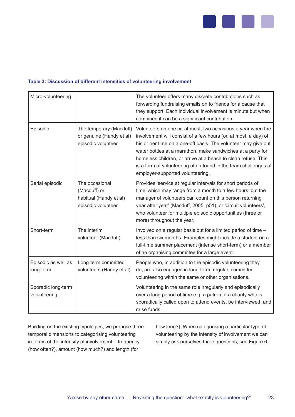

#### **Table 3: Discussion of different intensities of volunteering involvement**

| Micro-volunteering                 |                                                                                | The volunteer offers many discrete contributions such as<br>forwarding fundraising emails on to friends for a cause that<br>they support. Each individual involvement is minute but when<br>combined it can be a significant contribution.                                                                                                                                                                                               |
|------------------------------------|--------------------------------------------------------------------------------|------------------------------------------------------------------------------------------------------------------------------------------------------------------------------------------------------------------------------------------------------------------------------------------------------------------------------------------------------------------------------------------------------------------------------------------|
| Episodic                           | The temporary (Macduff)<br>or genuine (Handy et al)<br>episodic volunteer      | Volunteers on one or, at most, two occasions a year when the<br>involvement will consist of a few hours (or, at most, a day) of<br>his or her time on a one-off basis. The volunteer may give out<br>water bottles at a marathon, make sandwiches at a party for<br>homeless children, or arrive at a beach to clean refuse. This<br>is a form of volunteering often found in the team challenges of<br>employer-supported volunteering. |
| Serial episodic                    | The occasional<br>(Macduff) or<br>habitual (Handy et al)<br>episodic volunteer | Provides 'service at regular intervals for short periods of<br>time' which may range from a month to a few hours 'but the<br>manager of volunteers can count on this person returning<br>year after year' (Macduff, 2005; p51); or 'circuit volunteers',<br>who volunteer for multiple episodic opportunities (three or<br>more) throughout the year.                                                                                    |
| Short-term                         | The interim<br>volunteer (Macduff)                                             | Involved on a regular basis but for a limited period of time -<br>less than six months. Examples might include a student on a<br>full-time summer placement (intense short-term) or a member<br>of an organising committee for a large event.                                                                                                                                                                                            |
| Episodic as well as<br>long-term   | Long-term committed<br>volunteers (Handy et al)                                | People who, in addition to the episodic volunteering they<br>do, are also engaged in long-term, regular, committed<br>volunteering within the same or other organisations.                                                                                                                                                                                                                                                               |
| Sporadic long-term<br>volunteering |                                                                                | Volunteering in the same role irregularly and episodically<br>over a long period of time e.g. a patron of a charity who is<br>sporadically called upon to attend events, be interviewed, and<br>raise funds.                                                                                                                                                                                                                             |

Building on the existing typologies, we propose three temporal dimensions to categorising volunteering in terms of the intensity of involvement – frequency (how often?), amount (how much?) and length (for

how long?). When categorising a particular type of volunteering by the intensity of involvement we can simply ask ourselves three questions; see Figure 6.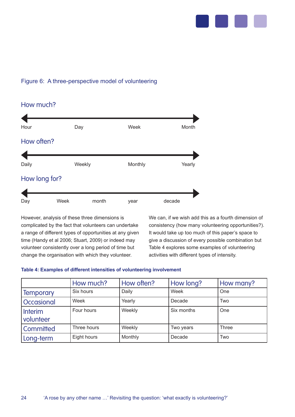

#### Figure 6: A three-perspective model of volunteering

How much? Hour Day Week Month How often? Daily **Contact Contract Contract Contract Contract Contract Contract Contract Contract Contract Contract Contract Contract Contract Contract Contract Contract Contract Contract Contract Contract Contract Contract Contract** How long for? Day Week month year decade

However, analysis of these three dimensions is complicated by the fact that volunteers can undertake a range of different types of opportunities at any given time (Handy et al 2006; Stuart, 2009) or indeed may volunteer consistently over a long period of time but change the organisation with which they volunteer.

We can, if we wish add this as a fourth dimension of consistency (how many volunteering opportunities?). It would take up too much of this paper's space to give a discussion of every possible combination but Table 4 explores some examples of volunteering activities with different types of intensity.

#### **Table 4: Examples of different intensities of volunteering involvement**

|                             | How much?   | How often? | How long?  | How many?  |
|-----------------------------|-------------|------------|------------|------------|
| <b>Temporary</b>            | Six hours   | Daily      | Week       | <b>One</b> |
| Occasional                  | Week        | Yearly     | Decade     | Two        |
| <b>Interim</b><br>volunteer | Four hours  | Weekly     | Six months | One        |
| <b>Committed</b>            | Three hours | Weekly     | Two years  | Three      |
| Long-term                   | Eight hours | Monthly    | Decade     | Two        |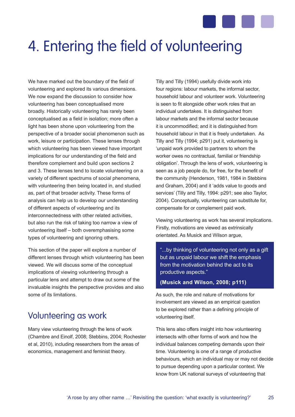

## 4. Entering the field of volunteering

We have marked out the boundary of the field of volunteering and explored its various dimensions. We now expand the discussion to consider how volunteering has been conceptualised more broadly. Historically volunteering has rarely been conceptualised as a field in isolation; more often a light has been shone upon volunteering from the perspective of a broader social phenomenon such as work, leisure or participation. These lenses through which volunteering has been viewed have important implications for our understanding of the field and therefore complement and build upon sections 2 and 3. These lenses tend to locate volunteering on a variety of different spectrums of social phenomena, with volunteering then being located in, and studied as, part of that broader activity. These forms of analysis can help us to develop our understanding of different aspects of volunteering and its interconnectedness with other related activities, but also run the risk of taking too narrow a view of volunteering itself – both overemphasising some types of volunteering and ignoring others.

This section of the paper will explore a number of different lenses through which volunteering has been viewed. We will discuss some of the conceptual implications of viewing volunteering through a particular lens and attempt to draw out some of the invaluable insights the perspective provides and also some of its limitations.

## Volunteering as work

Many view volunteering through the lens of work (Chambre and Einolf, 2008; Stebbins, 2004; Rochester et al, 2010), including researchers from the areas of economics, management and feminist theory.

Tilly and Tilly (1994) usefully divide work into four regions: labour markets, the informal sector, household labour and volunteer work. Volunteering is seen to fit alongside other work roles that an individual undertakes. It is distinguished from labour markets and the informal sector because it is uncommodified; and it is distinguished from household labour in that it is freely undertaken. As Tilly and Tilly (1994; p291) put it, volunteering is 'unpaid work provided to partners to whom the worker owes no contractual, familial or friendship obligation'. Through the lens of work, volunteering is seen as a job people do, for free, for the benefit of the community (Henderson, 1981, 1984 in Stebbins and Graham, 2004) and it 'adds value to goods and services' (Tilly and Tilly, 1994: p291; see also Taylor, 2004). Conceptually, volunteering can substitute for, compensate for or complement paid work.

Viewing volunteering as work has several implications. Firstly, motivations are viewed as extrinsically orientated. As Musick and Wilson argue,

"...by thinking of volunteering not only as a gift but as unpaid labour we shift the emphasis from the motivation behind the act to its productive aspects."

**(Musick and Wilson, 2008; p111)**

As such, the role and nature of motivations for involvement are viewed as an empirical question to be explored rather than a defining principle of volunteering itself.

This lens also offers insight into how volunteering intersects with other forms of work and how the individual balances competing demands upon their time. Volunteering is one of a range of productive behaviours, which an individual may or may not decide to pursue depending upon a particular context. We know from UK national surveys of volunteering that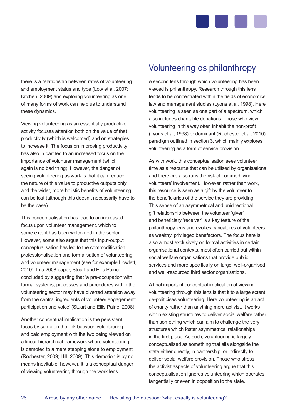

there is a relationship between rates of volunteering and employment status and type (Low et al, 2007; Kitchen, 2009) and exploring volunteering as one of many forms of work can help us to understand these dynamics.

Viewing volunteering as an essentially productive activity focuses attention both on the value of that productivity (which is welcomed) and on strategies to increase it. The focus on improving productivity has also in part led to an increased focus on the importance of volunteer management (which again is no bad thing). However, the danger of seeing volunteering as work is that it can reduce the nature of this value to productive outputs only and the wider, more holistic benefits of volunteering can be lost (although this doesn't necessarily have to be the case).

This conceptualisation has lead to an increased focus upon volunteer management, which to some extent has been welcomed in the sector. However, some also argue that this input-output conceptualisation has led to the commodification, professionalisation and formalisation of volunteering and volunteer management (see for example Howlett, 2010). In a 2008 paper, Stuart and Ellis Paine concluded by suggesting that 'a pre-occupation with formal systems, processes and procedures within the volunteering sector may have diverted attention away from the central ingredients of volunteer engagement: participation and voice' (Stuart and Ellis Paine, 2008).

Another conceptual implication is the persistent focus by some on the link between volunteering and paid employment with the two being viewed on a linear hierarchical framework where volunteering is demoted to a mere stepping stone to employment (Rochester, 2009; Hill, 2009). This demotion is by no means inevitable; however, it is a conceptual danger of viewing volunteering through the work lens.

## Volunteering as philanthropy

A second lens through which volunteering has been viewed is philanthropy. Research through this lens tends to be concentrated within the fields of economics, law and management studies (Lyons et al, 1998). Here volunteering is seen as one part of a spectrum, which also includes charitable donations. Those who view volunteering in this way often inhabit the non-profit (Lyons et al, 1998) or dominant (Rochester et al, 2010) paradigm outlined in section 3, which mainly explores volunteering as a form of service provision.

As with work, this conceptualisation sees volunteer time as a resource that can be utilised by organisations and therefore also runs the risk of commodifying volunteers' involvement. However, rather than work, this resource is seen as a gift by the volunteer to the beneficiaries of the service they are providing. This sense of an asymmetrical and unidirectional gift relationship between the volunteer 'giver' and beneficiary 'receiver' is a key feature of the philanthropy lens and evokes caricatures of volunteers as wealthy, privileged benefactors. The focus here is also almost exclusively on formal activities in certain organisational contexts, most often carried out within social welfare organisations that provide public services and more specifically on large, well-organised and well-resourced third sector organisations.

A final important conceptual implication of viewing volunteering through this lens is that it to a large extent de-politicises volunteering. Here volunteering is an act of charity rather than anything more activist. It works within existing structures to deliver social welfare rather than something which can aim to challenge the very structures which foster asymmetrical relationships in the first place. As such, volunteering is largely conceptualised as something that sits alongside the state either directly, in partnership, or indirectly to deliver social welfare provision. Those who stress the activist aspects of volunteering argue that this conceptualisation ignores volunteering which operates tangentially or even in opposition to the state.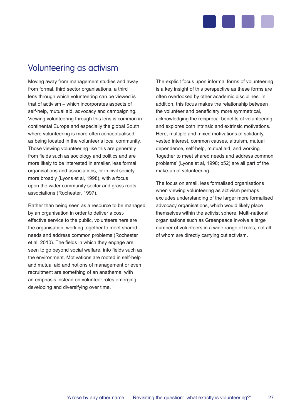

## Volunteering as activism

Moving away from management studies and away from formal, third sector organisations, a third lens through which volunteering can be viewed is that of activism – which incorporates aspects of self-help, mutual aid, advocacy and campaigning. Viewing volunteering through this lens is common in continental Europe and especially the global South where volunteering is more often conceptualised as being located in the volunteer's local community. Those viewing volunteering like this are generally from fields such as sociology and politics and are more likely to be interested in smaller, less formal organisations and associations, or in civil society more broadly (Lyons et al, 1998), with a focus upon the wider community sector and grass roots associations (Rochester, 1997).

Rather than being seen as a resource to be managed by an organisation in order to deliver a costeffective service to the public, volunteers here are the organisation, working together to meet shared needs and address common problems (Rochester et al, 2010). The fields in which they engage are seen to go beyond social welfare, into fields such as the environment. Motivations are rooted in self-help and mutual aid and notions of management or even recruitment are something of an anathema, with an emphasis instead on volunteer roles emerging, developing and diversifying over time.

The explicit focus upon informal forms of volunteering is a key insight of this perspective as these forms are often overlooked by other academic disciplines. In addition, this focus makes the relationship between the volunteer and beneficiary more symmetrical, acknowledging the reciprocal benefits of volunteering, and explores both intrinsic and extrinsic motivations. Here, multiple and mixed motivations of solidarity, vested interest, common causes, altruism, mutual dependence, self-help, mutual aid, and working 'together to meet shared needs and address common problems' (Lyons et al, 1998; p52) are all part of the make-up of volunteering.

The focus on small, less formalised organisations when viewing volunteering as activism perhaps excludes understanding of the larger more formalised advocacy organisations, which would likely place themselves within the activist sphere. Multi-national organisations such as Greenpeace involve a large number of volunteers in a wide range of roles, not all of whom are directly carrying out activism.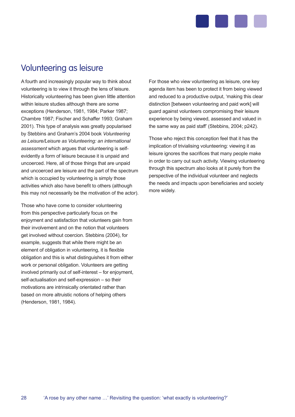

## Volunteering as leisure

A fourth and increasingly popular way to think about volunteering is to view it through the lens of leisure. Historically volunteering has been given little attention within leisure studies although there are some exceptions (Henderson, 1981, 1984; Parker 1987; Chambre 1987; Fischer and Schaffer 1993; Graham 2001). This type of analysis was greatly popularised by Stebbins and Graham's 2004 book *Volunteering as Leisure/Leisure as Volunteering: an international assessment* which argues that volunteering is selfevidently a form of leisure because it is unpaid and uncoerced. Here, all of those things that are unpaid and uncoerced are leisure and the part of the spectrum which is occupied by volunteering is simply those activities which also have benefit to others (although this may not necessarily be the motivation of the actor).

Those who have come to consider volunteering from this perspective particularly focus on the enjoyment and satisfaction that volunteers gain from their involvement and on the notion that volunteers get involved without coercion. Stebbins (2004), for example, suggests that while there might be an element of obligation in volunteering, it is flexible obligation and this is what distinguishes it from either work or personal obligation. Volunteers are getting involved primarily out of self-interest – for enjoyment, self-actualisation and self-expression – so their motivations are intrinsically orientated rather than based on more altruistic notions of helping others (Henderson, 1981, 1984).

For those who view volunteering as leisure, one key agenda item has been to protect it from being viewed and reduced to a productive output, 'making this clear distinction [between volunteering and paid work] will guard against volunteers compromising their leisure experience by being viewed, assessed and valued in the same way as paid staff' (Stebbins, 2004; p242).

Those who reject this conception feel that it has the implication of trivialising volunteering: viewing it as leisure ignores the sacrifices that many people make in order to carry out such activity. Viewing volunteering through this spectrum also looks at it purely from the perspective of the individual volunteer and neglects the needs and impacts upon beneficiaries and society more widely.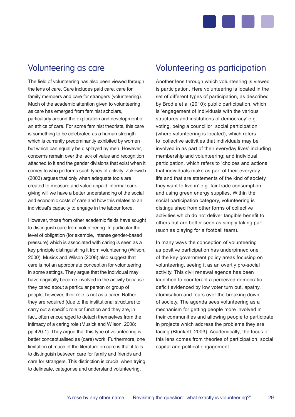

### Volunteering as care

The field of volunteering has also been viewed through the lens of care. Care includes paid care, care for family members and care for strangers (volunteering). Much of the academic attention given to volunteering as care has emerged from feminist scholars, particularly around the exploration and development of an ethics of care. For some feminist theorists, this care is something to be celebrated as a human strength which is currently predominantly exhibited by women but which can equally be displayed by men. However, concerns remain over the lack of value and recognition attached to it and the gender divisions that exist when it comes to who performs such types of activity. Zukewich (2003) argues that only when adequate tools are created to measure and value unpaid informal caregiving will we have a better understanding of the social and economic costs of care and how this relates to an individual's capacity to engage in the labour force.

However, those from other academic fields have sought to distinguish care from volunteering. In particular the level of obligation (for example, intense gender-based pressure) which is associated with caring is seen as a key principle distinguishing it from volunteering (Wilson, 2000). Musick and Wilson (2008) also suggest that care is not an appropriate conception for volunteering in some settings. They argue that the individual may have originally become involved in the activity because they cared about a particular person or group of people; however, their role is not as a carer. Rather they are required (due to the institutional structure) to carry out a specific role or function and they are, in fact, often encouraged to detach themselves from the intimacy of a caring role (Musick and Wilson, 2008; pp.420-1). They argue that this type of volunteering is better conceptualised as (care) work. Furthermore, one limitation of much of the literature on care is that it fails to distinguish between care for family and friends and care for strangers. This distinction is crucial when trying to delineate, categorise and understand volunteering.

### Volunteering as participation

Another lens through which volunteering is viewed is participation. Here volunteering is located in the set of different types of participation, as described by Brodie et al (2010): public participation, which is 'engagement of individuals with the various structures and institutions of democracy' e.g. voting, being a councillor; social participation (where volunteering is located), which refers to 'collective activities that individuals may be involved in as part of their everyday lives' including membership and volunteering; and individual participation, which refers to 'choices and actions that individuals make as part of their everyday life and that are statements of the kind of society they want to live in' e.g. fair trade consumption and using green energy supplies. Within the social participation category, volunteering is distinguished from other forms of collective activities which do not deliver tangible benefit to others but are better seen as simply taking part (such as playing for a football team).

In many ways the conception of volunteering as positive participation has underpinned one of the key government policy areas focusing on volunteering, seeing it as an overtly pro-social activity. This civil renewal agenda has been launched to counteract a perceived democratic deficit evidenced by low voter turn out, apathy, atomisation and fears over the breaking down of society. The agenda sees volunteering as a mechanism for getting people more involved in their communities and allowing people to participate in projects which address the problems they are facing (Blunkett, 2003). Academically, the focus of this lens comes from theories of participation, social capital and political engagement.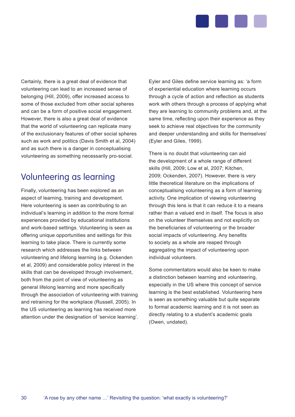

Certainly, there is a great deal of evidence that volunteering can lead to an increased sense of belonging (Hill, 2009), offer increased access to some of those excluded from other social spheres and can be a form of positive social engagement. However, there is also a great deal of evidence that the world of volunteering can replicate many of the exclusionary features of other social spheres such as work and politics (Davis Smith et al, 2004) and as such there is a danger in conceptualising volunteering as something necessarily pro-social.

## Volunteering as learning

Finally, volunteering has been explored as an aspect of learning, training and development. Here volunteering is seen as contributing to an individual's learning in addition to the more formal experiences provided by educational institutions and work-based settings. Volunteering is seen as offering unique opportunities and settings for this learning to take place. There is currently some research which addresses the links between volunteering and lifelong learning (e.g. Ockenden et al, 2009) and considerable policy interest in the skills that can be developed through involvement, both from the point of view of volunteering as general lifelong learning and more specifically through the association of volunteering with training and retraining for the workplace (Russell, 2005). In the US volunteering as learning has received more attention under the designation of 'service learning'.

Eyler and Giles define service learning as: 'a form of experiential education where learning occurs through a cycle of action and reflection as students work with others through a process of applying what they are learning to community problems and, at the same time, reflecting upon their experience as they seek to achieve real objectives for the community and deeper understanding and skills for themselves' (Eyler and Giles, 1999).

There is no doubt that volunteering can aid the development of a whole range of different skills (Hill, 2009; Low et al, 2007; Kitchen, 2009; Ockenden, 2007). However, there is very little theoretical literature on the implications of conceptualising volunteering as a form of learning activity. One implication of viewing volunteering through this lens is that it can reduce it to a means rather than a valued end in itself. The focus is also on the volunteer themselves and not explicitly on the beneficiaries of volunteering or the broader social impacts of volunteering. Any benefits to society as a whole are reaped through aggregating the impact of volunteering upon individual volunteers.

Some commentators would also be keen to make a distinction between learning and volunteering, especially in the US where this concept of service learning is the best established. Volunteering here is seen as something valuable but quite separate to formal academic learning and it is not seen as directly relating to a student's academic goals (Owen, undated).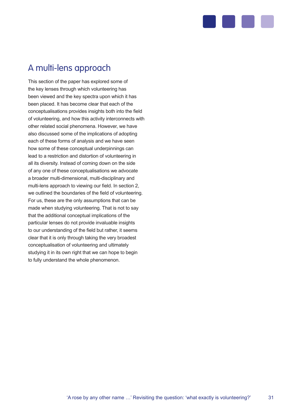

## A multi-lens approach

This section of the paper has explored some of the key lenses through which volunteering has been viewed and the key spectra upon which it has been placed. It has become clear that each of the conceptualisations provides insights both into the field of volunteering, and how this activity interconnects with other related social phenomena. However, we have also discussed some of the implications of adopting each of these forms of analysis and we have seen how some of these conceptual underpinnings can lead to a restriction and distortion of volunteering in all its diversity. Instead of coming down on the side of any one of these conceptualisations we advocate a broader multi-dimensional, multi-disciplinary and multi-lens approach to viewing our field. In section 2, we outlined the boundaries of the field of volunteering. For us, these are the only assumptions that can be made when studying volunteering. That is not to say that the additional conceptual implications of the particular lenses do not provide invaluable insights to our understanding of the field but rather, it seems clear that it is only through taking the very broadest conceptualisation of volunteering and ultimately studying it in its own right that we can hope to begin to fully understand the whole phenomenon.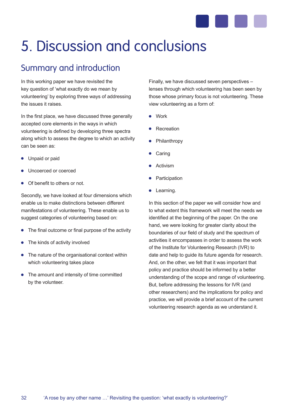

## 5. Discussion and conclusions

## Summary and introduction

In this working paper we have revisited the key question of 'what exactly do we mean by volunteering' by exploring three ways of addressing the issues it raises.

In the first place, we have discussed three generally accepted core elements in the ways in which volunteering is defined by developing three spectra along which to assess the degree to which an activity can be seen as:

- Unpaid or paid
- Uncoerced or coerced
- Of benefit to others or not.

Secondly, we have looked at four dimensions which enable us to make distinctions between different manifestations of volunteering. These enable us to suggest categories of volunteering based on:

- The final outcome or final purpose of the activity
- The kinds of activity involved  $\bullet$
- The nature of the organisational context within which volunteering takes place
- The amount and intensity of time committed by the volunteer.

Finally, we have discussed seven perspectives – lenses through which volunteering has been seen by those whose primary focus is not volunteering. These view volunteering as a form of:

- Work
- **•** Recreation
- Philanthropy
- **Caring**
- Activism
- Participation
- Learning.

In this section of the paper we will consider how and to what extent this framework will meet the needs we identified at the beginning of the paper. On the one hand, we were looking for greater clarity about the boundaries of our field of study and the spectrum of activities it encompasses in order to assess the work of the Institute for Volunteering Research (IVR) to date and help to guide its future agenda for research. And, on the other, we felt that it was important that policy and practice should be informed by a better understanding of the scope and range of volunteering. But, before addressing the lessons for IVR (and other researchers) and the implications for policy and practice, we will provide a brief account of the current volunteering research agenda as we understand it.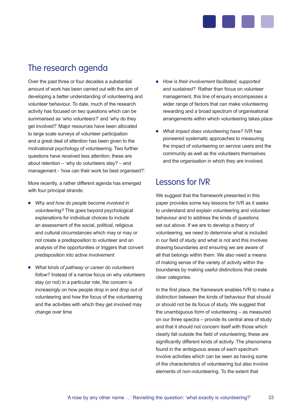

## The research agenda

Over the past three or four decades a substantial amount of work has been carried out with the aim of developing a better understanding of volunteering and volunteer behaviour. To date, much of the research activity has focused on two questions which can be summarised as 'who volunteers?' and 'why do they get involved?' Major resources have been allocated to large scale surveys of volunteer participation and a great deal of attention has been given to the motivational psychology of volunteering. Two further questions have received less attention; these are about retention – 'why do volunteers stay? – and management - 'how can their work be best organised?'.

More recently, a rather different agenda has emerged with four principal strands:

- *Why and how do people become involved in volunteering?* This goes beyond psychological explanations for individual choices to include an assessment of the social, political, religious and cultural circumstances which may or may or not create a predisposition to volunteer and an analysis of the opportunities or triggers that convert predisposition into active involvement
- *What kinds of pathway or career do volunteers follow?* Instead of a narrow focus on why volunteers stay (or not) in a particular role, the concern is increasingly on how people drop in and drop out of volunteering and how the focus of the volunteering and the activities with which they get involved may change over time
- *How is their involvement facilitated, supported and sustained?* Rather than focus on volunteer management, this line of enquiry encompasses a wider range of factors that can make volunteering rewarding and a broad spectrum of organisational arrangements within which volunteering takes place
- *What impact does volunteering have?* IVR has pioneered systematic approaches to measuring the impact of volunteering on service users and the community as well as the volunteers themselves and the organisation in which they are involved.

## Lessons for IVR

We suggest that the framework presented in this paper provides some key lessons for IVR as it seeks to understand and explain volunteering and volunteer behaviour and to address the kinds of questions set out above. If we are to develop a theory of volunteering, we need to determine what is included in our field of study and what is not and this involves drawing boundaries and ensuring we are aware of all that belongs within them. We also need a means of making sense of the variety of activity within the boundaries by making useful distinctions that create clear categories.

In the first place, the framework enables IVR to make a distinction between the kinds of behaviour that should or should not be its focus of study. We suggest that the unambiguous form of volunteering – as measured on our three spectra – provide its central area of study and that it should not concern itself with those which clearly fall outside the field of volunteering; these are significantly different kinds of activity. The phenomena found in the ambiguous areas of each spectrum involve activities which can be seen as having some of the characteristics of volunteering but also involve elements of non-volunteering. To the extent that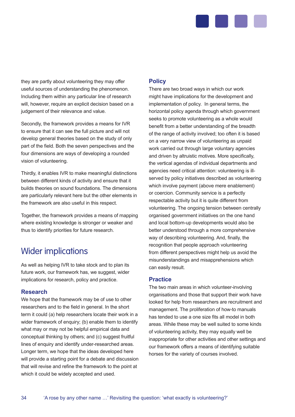

they are partly about volunteering they may offer useful sources of understanding the phenomenon. Including them within any particular line of research will, however, require an explicit decision based on a judgement of their relevance and value.

Secondly, the framework provides a means for IVR to ensure that it can see the full picture and will not develop general theories based on the study of only part of the field. Both the seven perspectives and the four dimensions are ways of developing a rounded vision of volunteering.

Thirdly, it enables IVR to make meaningful distinctions between different kinds of activity and ensure that it builds theories on sound foundations. The dimensions are particularly relevant here but the other elements in the framework are also useful in this respect.

Together, the framework provides a means of mapping where existing knowledge is stronger or weaker and thus to identify priorities for future research.

## Wider implications

As well as helping IVR to take stock and to plan its future work, our framework has, we suggest, wider implications for research, policy and practice.

#### **Research**

We hope that the framework may be of use to other researchers and to the field in general. In the short term it could (a) help researchers locate their work in a wider framework of enquiry; (b) enable them to identify what may or may not be helpful empirical data and conceptual thinking by others; and (c) suggest fruitful lines of enquiry and identify under-researched areas. Longer term, we hope that the ideas developed here will provide a starting point for a debate and discussion that will revise and refine the framework to the point at which it could be widely accepted and used.

#### **Policy**

There are two broad ways in which our work might have implications for the development and implementation of policy. In general terms, the horizontal policy agenda through which government seeks to promote volunteering as a whole would benefit from a better understanding of the breadth of the range of activity involved; too often it is based on a very narrow view of volunteering as unpaid work carried out through large voluntary agencies and driven by altruistic motives. More specifically, the vertical agendas of individual departments and agencies need critical attention: volunteering is illserved by policy initiatives described as volunteering which involve payment (above mere enablement) or coercion. Community service is a perfectly respectable activity but it is quite different from volunteering. The ongoing tension between centrally organised government initiatives on the one hand and local bottom-up developments would also be better understood through a more comprehensive way of describing volunteering. And, finally, the recognition that people approach volunteering from different perspectives might help us avoid the misunderstandings and misapprehensions which can easily result.

#### **Practice**

The two main areas in which volunteer-involving organisations and those that support their work have looked for help from researchers are recruitment and management. The proliferation of how-to manuals has tended to use a one size fits all model in both areas. While these may be well suited to some kinds of volunteering activity, they may equally well be inappropriate for other activities and other settings and our framework offers a means of identifying suitable horses for the variety of courses involved.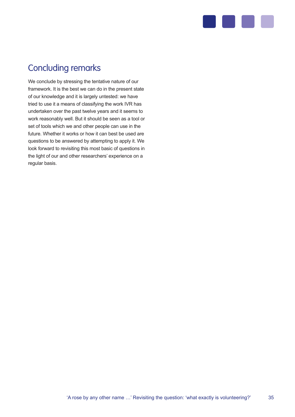

## Concluding remarks

We conclude by stressing the tentative nature of our framework. It is the best we can do in the present state of our knowledge and it is largely untested: we have tried to use it a means of classifying the work IVR has undertaken over the past twelve years and it seems to work reasonably well. But it should be seen as a tool or set of tools which we and other people can use in the future. Whether it works or how it can best be used are questions to be answered by attempting to apply it. We look forward to revisiting this most basic of questions in the light of our and other researchers' experience on a regular basis.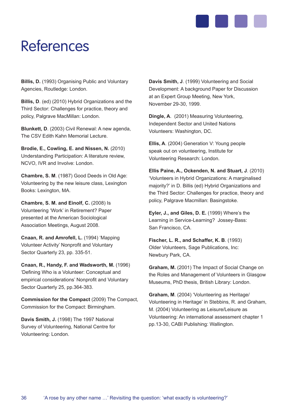

## References

**Billis, D.** (1993) Organising Public and Voluntary Agencies, Routledge: London.

**Billis, D**. (ed) (2010) Hybrid Organizations and the Third Sector: Challenges for practice, theory and policy, Palgrave MacMillan: London.

**Blunkett, D**. (2003) Civil Renewal: A new agenda, The CSV Edith Kahn Memorial Lecture.

**Brodie, E., Cowling, E. and Nissen, N.** (2010) Understanding Participation: A literature review, NCVO, IVR and Involve: London.

**Chambre, S. M**. (1987) Good Deeds in Old Age: Volunteering by the new leisure class, Lexington Books: Lexington, MA.

**Chambre, S. M. and Einolf, C.** (2008) Is Volunteering 'Work' in Retirement? Paper presented at the American Sociological Association Meetings, August 2008.

**Cnaan, R. and Amrofell, L.** (1994) 'Mapping Volunteer Activity' Nonprofit and Voluntary Sector Quarterly 23, pp. 335-51.

**Cnaan, R., Handy, F. and Wadsworth, M.** (1996) 'Defining Who is a Volunteer: Conceptual and empirical considerations' Nonprofit and Voluntary Sector Quarterly 25, pp.364-383.

**Commission for the Compact** (2009) The Compact, Commission for the Compact: Birmingham.

**Davis Smith, J.** (1998) The 1997 National Survey of Volunteering, National Centre for Volunteering: London.

**Davis Smith, J**. (1999) Volunteering and Social Development: A background Paper for Discussion at an Expert Group Meeting, New York, November 29-30, 1999.

**Dingle, A**. (2001) Measuring Volunteering, Independent Sector and United Nations Volunteers: Washington, DC.

**Ellis, A**. (2004) Generation V: Young people speak out on volunteering, Institute for Volunteering Research: London.

**Ellis Paine, A., Ockenden, N. and Stuart, J**. (2010) 'Volunteers in Hybrid Organizations: A marginalised majority?' in D. Billis (ed) Hybrid Organizations and the Third Sector: Challenges for practice, theory and policy, Palgrave Macmillan: Basingstoke.

**Eyler, J., and Giles, D. E.** (1999) Where's the Learning in Service-Learning? Jossey-Bass: San Francisco, CA.

**Fischer, L. R., and Schaffer, K. B**. (1993) Older Volunteers, Sage Publications, Inc: Newbury Park, CA.

**Graham, M.** (2001) The Impact of Social Change on the Roles and Management of Volunteers in Glasgow Museums, PhD thesis, British Library: London.

**Graham, M**. (2004) 'Volunteering as Heritage/ Volunteering in Heritage' in Stebbins, R. and Graham, M. (2004) Volunteering as Leisure/Leisure as Volunteering: An international assessment chapter 1 pp.13-30, CABI Publishing: Wallington.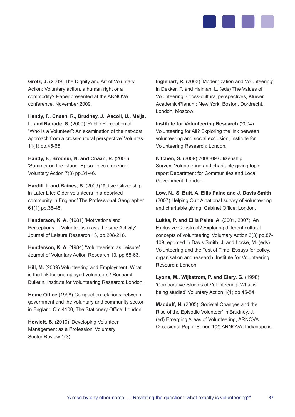

**Grotz, J.** (2009) The Dignity and Art of Voluntary Action: Voluntary action, a human right or a commodity? Paper presented at the ARNOVA conference, November 2009.

**Handy, F., Cnaan, R., Brudney, J., Ascoli, U., Meijs, L. and Ranade, S**. (2000) 'Public Perception of "Who is a Volunteer": An examination of the net-cost approach from a cross-cultural perspective' Voluntas 11(1) pp.45-65.

**Handy, F., Brodeur, N. and Cnaan, R.** (2006) 'Summer on the Island: Episodic volunteering' Voluntary Action 7(3) pp.31-46.

**Hardill, I. and Baines, S.** (2009) 'Active Citizenship in Later Life: Older volunteers in a deprived community in England' The Professional Geographer 61(1) pp.36-45.

**Henderson, K. A.** (1981) 'Motivations and Perceptions of Volunteerism as a Leisure Activity' Journal of Leisure Research 13, pp.208-218.

**Henderson, K. A**. (1984) 'Volunteerism as Leisure' Journal of Voluntary Action Research 13, pp.55-63.

**Hill, M.** (2009) Volunteering and Employment: What is the link for unemployed volunteers? Research Bulletin, Institute for Volunteering Research: London.

**Home Office** (1998) Compact on relations between government and the voluntary and community sector in England Cm 4100, The Stationery Office: London.

**Howlett, S.** (2010) 'Developing Volunteer Management as a Profession' Voluntary Sector Review 1(3).

**Inglehart, R.** (2003) 'Modernization and Volunteering' in Dekker, P. and Halman, L. (eds) The Values of Volunteering: Cross-cultural perspectives, Kluwer Academic/Plenum: New York, Boston, Dordrecht, London, Moscow.

**Institute for Volunteering Research** (2004) Volunteering for All? Exploring the link between volunteering and social exclusion, Institute for Volunteering Research: London.

**Kitchen, S.** (2009) 2008-09 Citizenship Survey: Volunteering and charitable giving topic report Department for Communities and Local Government: London.

**Low, N., S. Butt, A. Ellis Paine and J. Davis Smith**  (2007) Helping Out: A national survey of volunteering and charitable giving, Cabinet Office: London.

**Lukka, P. and Ellis Paine, A.** (2001, 2007) 'An Exclusive Construct? Exploring different cultural concepts of volunteering' Voluntary Action 3(3) pp.87- 109 reprinted in Davis Smith, J. and Locke, M. (eds) Volunteering and the Test of Time: Essays for policy, organisation and research, Institute for Volunteering Research: London.

**Lyons, M., Wijkstrom, P. and Clary, G.** (1998) 'Comparative Studies of Volunteering: What is being studied' Voluntary Action 1(1) pp.45-54.

**Macduff, N.** (2005) 'Societal Changes and the Rise of the Episodic Volunteer' in Brudney, J. (ed) Emerging Areas of Volunteering, ARNOVA Occasional Paper Series 1(2) ARNOVA: Indianapolis.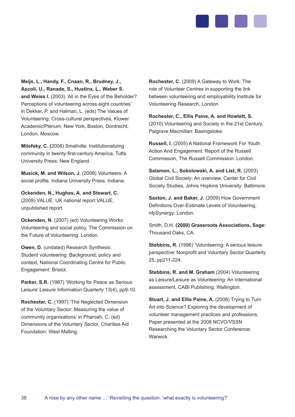

**Meijs, L., Handy, F., Cnaan, R., Brudney, J., Ascoli, U., Ranade, S., Hustinx, L., Weber S. and Weiss I.** (2003) 'All in the Eyes of the Beholder? Perceptions of volunteering across eight countries' in Dekker, P. and Halman, L. (eds) The Values of Volunteering: Cross-cultural perspectives, Kluwer Academic/Plenum: New York, Boston, Dordrecht, London, Moscow.

**Milofsky, C. (**2008) Smallville: Institutionalizing community in twenty-first-century America, Tufts University Press: New England.

**Musick, M. and Wilson, J.** (2008) Volunteers: A social profile, Indiana University Press: Indiana.

**Ockenden, N., Hughes, A. and Stewart, C.**  (2009) VALUE: UK national report VALUE, unpublished report.

**Ockenden, N.** (2007) (ed) Volunteering Works: Volunteering and social policy, The Commission on the Future of Volunteering: London.

**Owen, D.** (undated) Research Synthesis: Student volunteering: Background, policy and context, National Coordinating Centre for Public Engagement: Bristol.

Parker, S.R. (1987) 'Working for Peace as Serious Leisure' Leisure Information Quarterly 13(4), pp9-10.

**Rochester, C.** (1997) 'The Neglected Dimension of the Voluntary Sector: Measuring the value of community organisations' in Pharoah, C. (ed) Dimensions of the Voluntary Sector, Charities Aid Foundation: West Malling.

**Rochester, C.** (2009) A Gateway to Work: The role of Volunteer Centres in supporting the link between volunteering and employability Institute for Volunteering Research, London

**Rochester, C., Ellis Paine, A. and Howlett, S.**  (2010) Volunteering and Society in the 21st Century, Palgrave Macmillan: Basingstoke.

**Russell, I.** (2005) A National Framework For Youth Action And Engagement: Report of the Russell Commission, The Russell Commission: London.

**Salamon, L., Sokolowski, A. and List, R.** (2003) Global Civil Society: An overview, Center for Civil Society Studies, Johns Hopkins University: Baltimore.

Saxton, J. and Baker, J. (2009) How Government Definitions Over-Estimate Levels of Volunteering, nfpSynergy: London.

Smith, D.H. **(2000) Grassroots Associations, Sage:**  Thousand Oaks, CA.

Stebbins, R. (1996) 'Volunteering: A serious leisure perspective' Nonprofit and Voluntary Sector Quarterly 25, pp211-224.

**Stebbins, R. and M. Graham** (2004) Volunteering as Leisure/Leisure as Volunteering: An international assessment, CABI Publishing: Wallington.

**Stuart, J. and Ellis Paine, A. (2008) Trying to Turn** Art into Science? Exploring the development of volunteer management practices and professions, Paper presented at the 2008 NCVO/VSSN Researching the Voluntary Sector Conference: Warwick.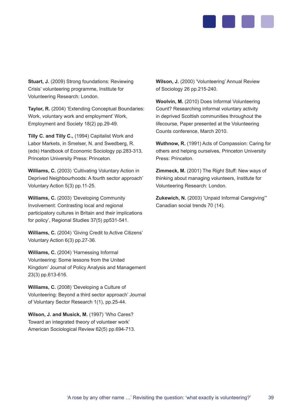

**Stuart, J.** (2009) Strong foundations: Reviewing Crisis' volunteering programme, Institute for Volunteering Research: London.

**Taylor, R.** (2004) 'Extending Conceptual Boundaries: Work, voluntary work and employment' Work, Employment and Society 18(2) pp.29-49.

**Tilly C. and Tilly C.,** (1994) Capitalist Work and Labor Markets, in Smelser, N. and Swedberg, R. (eds) Handbook of Economic Sociology pp.283-313, Princeton University Press: Princeton.

**Williams, C.** (2003) 'Cultivating Voluntary Action in Deprived Neighbourhoods: A fourth sector approach' Voluntary Action 5(3) pp.11-25.

**Williams, C.** (2003) 'Developing Community Involvement: Contrasting local and regional participatory cultures in Britain and their implications for policy', Regional Studies 37(5) pp531-541.

**Williams, C.** (2004) 'Giving Credit to Active Citizens' Voluntary Action 6(3) pp.27-36.

**Williams, C.** (2004) 'Harnessing Informal Volunteering: Some lessons from the United Kingdom' Journal of Policy Analysis and Management 23(3) pp.613-616.

**Williams, C.** (2008) 'Developing a Culture of Volunteering: Beyond a third sector approach' Journal of Voluntary Sector Research 1(1), pp.25-44.

**Wilson, J. and Musick, M.** (1997) 'Who Cares? Toward an integrated theory of volunteer work' American Sociological Review 62(5) pp.694-713. **Wilson, J.** (2000) 'Volunteering' Annual Review of Sociology 26 pp.215-240.

**Woolvin, M.** (2010) Does Informal Volunteering Count? Researching informal voluntary activity in deprived Scottish communities throughout the lifecourse, Paper presented at the Volunteering Counts conference, March 2010.

**Wuthnow, R.** (1991) Acts of Compassion: Caring for others and helping ourselves, Princeton University Press: Princeton.

**Zimmeck, M.** (2001) The Right Stuff: New ways of thinking about managing volunteers, Institute for Volunteering Research: London.

**Zukewich, N.** (2003) 'Unpaid Informal Caregiving'" Canadian social trends 70 (14).